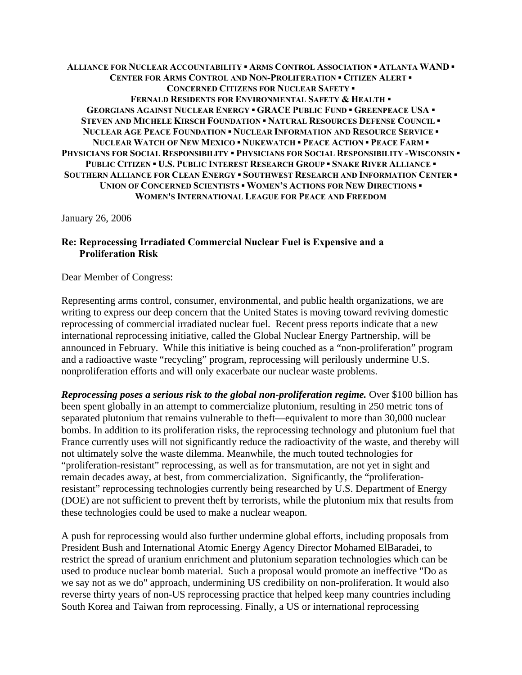**ALLIANCE FOR NUCLEAR ACCOUNTABILITY ▪ ARMS CONTROL ASSOCIATION ▪ ATLANTA WAND ▪ CENTER FOR ARMS CONTROL AND NON-PROLIFERATION ▪ CITIZEN ALERT ▪ CONCERNED CITIZENS FOR NUCLEAR SAFETY ▪ FERNALD RESIDENTS FOR ENVIRONMENTAL SAFETY & HEALTH ▪ GEORGIANS AGAINST NUCLEAR ENERGY ▪ GRACE PUBLIC FUND ▪ GREENPEACE USA ▪ STEVEN AND MICHELE KIRSCH FOUNDATION ▪ NATURAL RESOURCES DEFENSE COUNCIL ▪ NUCLEAR AGE PEACE FOUNDATION ▪ NUCLEAR INFORMATION AND RESOURCE SERVICE ▪ NUCLEAR WATCH OF NEW MEXICO ▪ NUKEWATCH ▪ PEACE ACTION ▪ PEACE FARM ▪ PHYSICIANS FOR SOCIAL RESPONSIBILITY ▪ PHYSICIANS FOR SOCIAL RESPONSIBILITY -WISCONSIN ▪ PUBLIC CITIZEN ▪ U.S. PUBLIC INTEREST RESEARCH GROUP ▪ SNAKE RIVER ALLIANCE ▪ SOUTHERN ALLIANCE FOR CLEAN ENERGY ▪ SOUTHWEST RESEARCH AND INFORMATION CENTER ▪ UNION OF CONCERNED SCIENTISTS ▪ WOMEN'S ACTIONS FOR NEW DIRECTIONS ▪ WOMEN'S INTERNATIONAL LEAGUE FOR PEACE AND FREEDOM**

January 26, 2006

## **Re: Reprocessing Irradiated Commercial Nuclear Fuel is Expensive and a Proliferation Risk**

Dear Member of Congress:

Representing arms control, consumer, environmental, and public health organizations, we are writing to express our deep concern that the United States is moving toward reviving domestic reprocessing of commercial irradiated nuclear fuel. Recent press reports indicate that a new international reprocessing initiative, called the Global Nuclear Energy Partnership, will be announced in February. While this initiative is being couched as a "non-proliferation" program and a radioactive waste "recycling" program, reprocessing will perilously undermine U.S. nonproliferation efforts and will only exacerbate our nuclear waste problems.

*Reprocessing poses a serious risk to the global non-proliferation regime.* Over \$100 billion has been spent globally in an attempt to commercialize plutonium, resulting in 250 metric tons of separated plutonium that remains vulnerable to theft—equivalent to more than 30,000 nuclear bombs. In addition to its proliferation risks, the reprocessing technology and plutonium fuel that France currently uses will not significantly reduce the radioactivity of the waste, and thereby will not ultimately solve the waste dilemma. Meanwhile, the much touted technologies for "proliferation-resistant" reprocessing, as well as for transmutation, are not yet in sight and remain decades away, at best, from commercialization. Significantly, the "proliferationresistant" reprocessing technologies currently being researched by U.S. Department of Energy (DOE) are not sufficient to prevent theft by terrorists, while the plutonium mix that results from these technologies could be used to make a nuclear weapon.

A push for reprocessing would also further undermine global efforts, including proposals from President Bush and International Atomic Energy Agency Director Mohamed ElBaradei, to restrict the spread of uranium enrichment and plutonium separation technologies which can be used to produce nuclear bomb material. Such a proposal would promote an ineffective "Do as we say not as we do" approach, undermining US credibility on non-proliferation. It would also reverse thirty years of non-US reprocessing practice that helped keep many countries including South Korea and Taiwan from reprocessing. Finally, a US or international reprocessing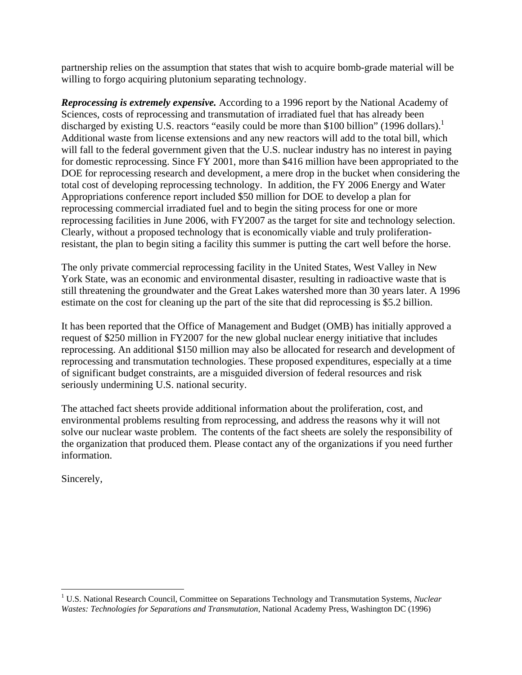partnership relies on the assumption that states that wish to acquire bomb-grade material will be willing to forgo acquiring plutonium separating technology.

*Reprocessing is extremely expensive.* According to a 1996 report by the National Academy of Sciences, costs of reprocessing and transmutation of irradiated fuel that has already been discharged by existing U.S. reactors "easily could be more than \$[1](#page-1-0)00 billion" (1996 dollars).<sup>1</sup> Additional waste from license extensions and any new reactors will add to the total bill, which will fall to the federal government given that the U.S. nuclear industry has no interest in paying for domestic reprocessing. Since FY 2001, more than \$416 million have been appropriated to the DOE for reprocessing research and development, a mere drop in the bucket when considering the total cost of developing reprocessing technology. In addition, the FY 2006 Energy and Water Appropriations conference report included \$50 million for DOE to develop a plan for reprocessing commercial irradiated fuel and to begin the siting process for one or more reprocessing facilities in June 2006, with FY2007 as the target for site and technology selection. Clearly, without a proposed technology that is economically viable and truly proliferationresistant, the plan to begin siting a facility this summer is putting the cart well before the horse.

The only private commercial reprocessing facility in the United States, West Valley in New York State, was an economic and environmental disaster, resulting in radioactive waste that is still threatening the groundwater and the Great Lakes watershed more than 30 years later. A 1996 estimate on the cost for cleaning up the part of the site that did reprocessing is \$5.2 billion.

It has been reported that the Office of Management and Budget (OMB) has initially approved a request of \$250 million in FY2007 for the new global nuclear energy initiative that includes reprocessing. An additional \$150 million may also be allocated for research and development of reprocessing and transmutation technologies. These proposed expenditures, especially at a time of significant budget constraints, are a misguided diversion of federal resources and risk seriously undermining U.S. national security.

The attached fact sheets provide additional information about the proliferation, cost, and environmental problems resulting from reprocessing, and address the reasons why it will not solve our nuclear waste problem. The contents of the fact sheets are solely the responsibility of the organization that produced them. Please contact any of the organizations if you need further information.

Sincerely,

1

<span id="page-1-0"></span><sup>&</sup>lt;sup>1</sup> U.S. National Research Council, Committee on Separations Technology and Transmutation Systems, *Nuclear Wastes: Technologies for Separations and Transmutation*, National Academy Press, Washington DC (1996)